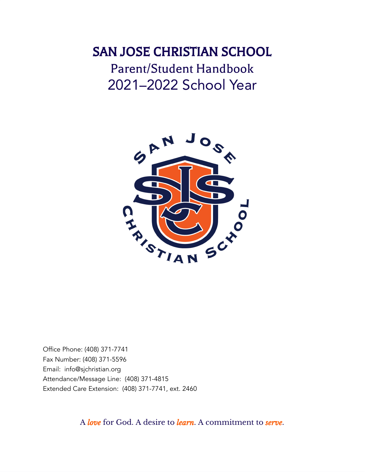# SAN JOSE CHRISTIAN SCHOOL Parent/Student Handbook 2021–2022 School Year



Office Phone: (408) 371-7741 Fax Number: (408) 371-5596 Email: info@sjchristian.org Attendance/Message Line: (408) 371-4815 Extended Care Extension: (408) 371-7741, ext. 2460

A *love* for God. A desire to *learn*. A commitment to *serve*.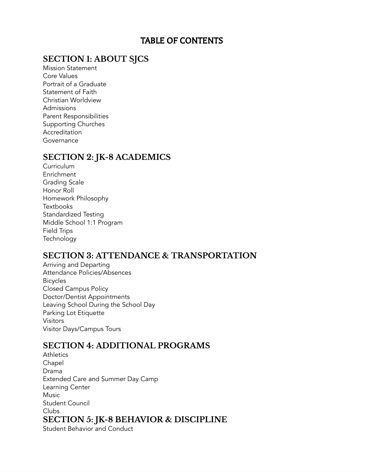## TABLE OF CONTENTS

## **SECTION 1: ABOUT SJCS**

Mission Statement Core Values Portrait of a Graduate Statement of Faith Christian Worldview Admissions Parent Responsibilities Supporting Churches Accreditation Governance

## **SECTION 2: JK-8 ACADEMICS**

**Curriculum** Enrichment Grading Scale Honor Roll Homework Philosophy **Textbooks** Standardized Testing Middle School 1:1 Program Field Trips **Technology** 

## **SECTION 3: ATTENDANCE & TRANSPORTATION**

Arriving and Departing Attendance Policies/Absences Bicycles Closed Campus Policy Doctor/Dentist Appointments Leaving School During the School Day Parking Lot Etiquette Visitors Visitor Days/Campus Tours

## **SECTION 4: ADDITIONAL PROGRAMS**

- **Athletics** Chapel Drama Extended Care and Summer Day Camp Learning Center **Music** Student Council Clubs **SECTION 5: JK-8 BEHAVIOR & DISCIPLINE**
	- Student Behavior and Conduct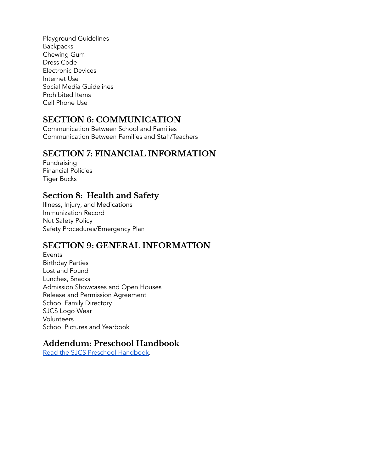Playground Guidelines **Backpacks** Chewing Gum Dress Code Electronic Devices Internet Use Social Media Guidelines Prohibited Items Cell Phone Use

## **SECTION 6: COMMUNICATION**

Communication Between School and Families Communication Between Families and Staff/Teachers

## **SECTION 7: FINANCIAL INFORMATION**

Fundraising Financial Policies Tiger Bucks

## **Section 8: Health and Safety**

Illness, Injury, and Medications Immunization Record Nut Safety Policy Safety Procedures/Emergency Plan

## **SECTION 9: GENERAL INFORMATION**

Events Birthday Parties Lost and Found Lunches, Snacks Admission Showcases and Open Houses Release and Permission Agreement School Family Directory SJCS Logo Wear Volunteers School Pictures and Yearbook

## **Addendum: Preschool Handbook**

Read the SJCS Preschool [Handbook.](https://www.sjchristian.org/21-22-SJCS-Preschool_Handbook.pdf)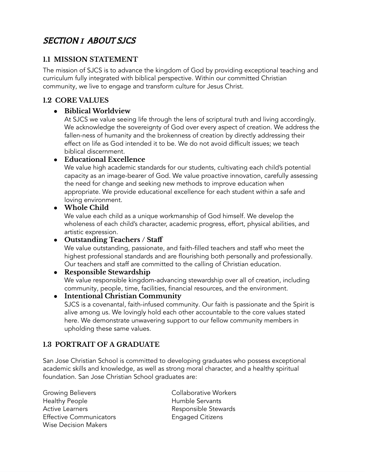## SECTION 1 ABOUT SJCS

## **1.1 MISSION STATEMENT**

The mission of SJCS is to advance the kingdom of God by providing exceptional teaching and curriculum fully integrated with biblical perspective. Within our committed Christian community, we live to engage and transform culture for Jesus Christ.

## **1.2 CORE VALUES**

## ● **Biblical Worldview**

At SJCS we value seeing life through the lens of scriptural truth and living accordingly. We acknowledge the sovereignty of God over every aspect of creation. We address the fallen-ness of humanity and the brokenness of creation by directly addressing their effect on life as God intended it to be. We do not avoid difficult issues; we teach biblical discernment.

### ● **Educational Excellence**

We value high academic standards for our students, cultivating each child's potential capacity as an image-bearer of God. We value proactive innovation, carefully assessing the need for change and seeking new methods to improve education when appropriate. We provide educational excellence for each student within a safe and loving environment.

### ● **Whole Child**

We value each child as a unique workmanship of God himself. We develop the wholeness of each child's character, academic progress, effort, physical abilities, and artistic expression.

### ● **Outstanding Teachers / Staff**

We value outstanding, passionate, and faith-filled teachers and staff who meet the highest professional standards and are flourishing both personally and professionally. Our teachers and staff are committed to the calling of Christian education.

## ● **Responsible Stewardship**

We value responsible kingdom-advancing stewardship over all of creation, including community, people, time, facilities, financial resources, and the environment.

### ● **Intentional Christian Community**

SJCS is a covenantal, faith-infused community. Our faith is passionate and the Spirit is alive among us. We lovingly hold each other accountable to the core values stated here. We demonstrate unwavering support to our fellow community members in upholding these same values.

## **1.3 PORTRAIT OF A GRADUATE**

San Jose Christian School is committed to developing graduates who possess exceptional academic skills and knowledge, as well as strong moral character, and a healthy spiritual foundation. San Jose Christian School graduates are:

Growing Believers **Collaborative Workers** Healthy People **Humble Servants** Active Learners **Responsible Stewards** Effective Communicators **Engaged Citizens** Wise Decision Makers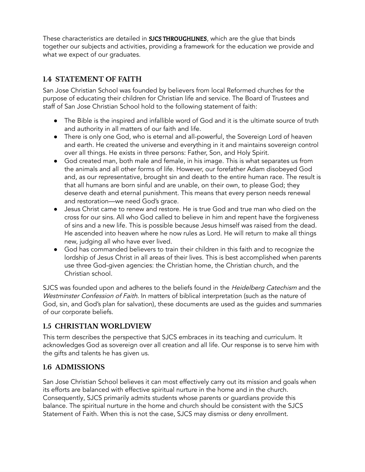These characteristics are detailed in **SJCS THROUGHLINES**, which are the glue that binds together our subjects and activities, providing a framework for the education we provide and what we expect of our graduates.

## **1.4 STATEMENT OF FAITH**

San Jose Christian School was founded by believers from local Reformed churches for the purpose of educating their children for Christian life and service. The Board of Trustees and staff of San Jose Christian School hold to the following statement of faith:

- The Bible is the inspired and infallible word of God and it is the ultimate source of truth and authority in all matters of our faith and life.
- There is only one God, who is eternal and all-powerful, the Sovereign Lord of heaven and earth. He created the universe and everything in it and maintains sovereign control over all things. He exists in three persons: Father, Son, and Holy Spirit.
- God created man, both male and female, in his image. This is what separates us from the animals and all other forms of life. However, our forefather Adam disobeyed God and, as our representative, brought sin and death to the entire human race. The result is that all humans are born sinful and are unable, on their own, to please God; they deserve death and eternal punishment. This means that every person needs renewal and restoration—we need God's grace.
- Jesus Christ came to renew and restore. He is true God and true man who died on the cross for our sins. All who God called to believe in him and repent have the forgiveness of sins and a new life. This is possible because Jesus himself was raised from the dead. He ascended into heaven where he now rules as Lord. He will return to make all things new, judging all who have ever lived.
- God has commanded believers to train their children in this faith and to recognize the lordship of Jesus Christ in all areas of their lives. This is best accomplished when parents use three God-given agencies: the Christian home, the Christian church, and the Christian school.

SJCS was founded upon and adheres to the beliefs found in the *Heidelberg Catechism* and the Westminster Confession of Faith. In matters of biblical interpretation (such as the nature of God, sin, and God's plan for salvation), these documents are used as the guides and summaries of our corporate beliefs.

## **1.5 CHRISTIAN WORLDVIEW**

This term describes the perspective that SJCS embraces in its teaching and curriculum. It acknowledges God as sovereign over all creation and all life. Our response is to serve him with the gifts and talents he has given us.

### **1.6 ADMISSIONS**

San Jose Christian School believes it can most effectively carry out its mission and goals when its efforts are balanced with effective spiritual nurture in the home and in the church. Consequently, SJCS primarily admits students whose parents or guardians provide this balance. The spiritual nurture in the home and church should be consistent with the SJCS Statement of Faith. When this is not the case, SJCS may dismiss or deny enrollment.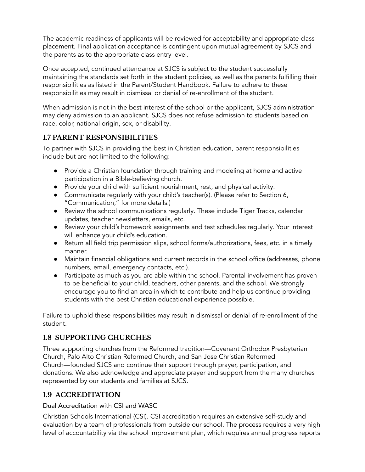The academic readiness of applicants will be reviewed for acceptability and appropriate class placement. Final application acceptance is contingent upon mutual agreement by SJCS and the parents as to the appropriate class entry level.

Once accepted, continued attendance at SJCS is subject to the student successfully maintaining the standards set forth in the student policies, as well as the parents fulfilling their responsibilities as listed in the Parent/Student Handbook. Failure to adhere to these responsibilities may result in dismissal or denial of re-enrollment of the student.

When admission is not in the best interest of the school or the applicant, SJCS administration may deny admission to an applicant. SJCS does not refuse admission to students based on race, color, national origin, sex, or disability.

## **1.7 PARENT RESPONSIBILITIES**

To partner with SJCS in providing the best in Christian education, parent responsibilities include but are not limited to the following:

- Provide a Christian foundation through training and modeling at home and active participation in a Bible-believing church.
- Provide your child with sufficient nourishment, rest, and physical activity.
- Communicate regularly with your child's teacher(s). (Please refer to Section 6, "Communication," for more details.)
- Review the school communications regularly. These include Tiger Tracks, calendar updates, teacher newsletters, emails, etc.
- Review your child's homework assignments and test schedules regularly. Your interest will enhance your child's education.
- Return all field trip permission slips, school forms/authorizations, fees, etc. in a timely manner.
- Maintain financial obligations and current records in the school office (addresses, phone numbers, email, emergency contacts, etc.).
- Participate as much as you are able within the school. Parental involvement has proven to be beneficial to your child, teachers, other parents, and the school. We strongly encourage you to find an area in which to contribute and help us continue providing students with the best Christian educational experience possible.

Failure to uphold these responsibilities may result in dismissal or denial of re-enrollment of the student.

## **1.8 SUPPORTING CHURCHES**

Three supporting churches from the Reformed tradition—Covenant Orthodox Presbyterian Church, Palo Alto Christian Reformed Church, and San Jose Christian Reformed Church—founded SJCS and continue their support through prayer, participation, and donations. We also acknowledge and appreciate prayer and support from the many churches represented by our students and families at SJCS.

## **1.9 ACCREDITATION**

#### Dual Accreditation with CSI and WASC

Christian Schools International (CSI). CSI accreditation requires an extensive self-study and evaluation by a team of professionals from outside our school. The process requires a very high level of accountability via the school improvement plan, which requires annual progress reports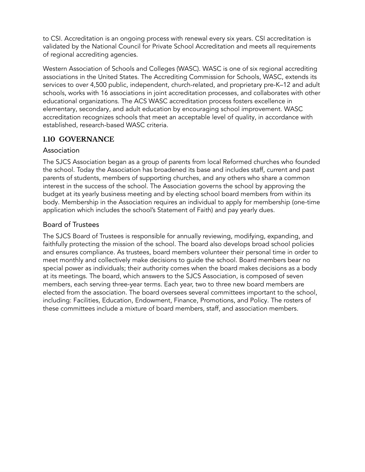to CSI. Accreditation is an ongoing process with renewal every six years. CSI accreditation is validated by the National Council for Private School Accreditation and meets all requirements of regional accrediting agencies.

Western Association of Schools and Colleges (WASC). WASC is one of six regional accrediting associations in the United States. The Accrediting Commission for Schools, WASC, extends its services to over 4,500 public, independent, church-related, and proprietary pre-K–12 and adult schools, works with 16 associations in joint accreditation processes, and collaborates with other educational organizations. The ACS WASC accreditation process fosters excellence in elementary, secondary, and adult education by encouraging school improvement. WASC accreditation recognizes schools that meet an acceptable level of quality, in accordance with established, research-based WASC criteria.

### **1.10 GOVERNANCE**

#### Association

The SJCS Association began as a group of parents from local Reformed churches who founded the school. Today the Association has broadened its base and includes staff, current and past parents of students, members of supporting churches, and any others who share a common interest in the success of the school. The Association governs the school by approving the budget at its yearly business meeting and by electing school board members from within its body. Membership in the Association requires an individual to apply for membership (one-time application which includes the school's Statement of Faith) and pay yearly dues.

### Board of Trustees

The SJCS Board of Trustees is responsible for annually reviewing, modifying, expanding, and faithfully protecting the mission of the school. The board also develops broad school policies and ensures compliance. As trustees, board members volunteer their personal time in order to meet monthly and collectively make decisions to guide the school. Board members bear no special power as individuals; their authority comes when the board makes decisions as a body at its meetings. The board, which answers to the SJCS Association, is composed of seven members, each serving three-year terms. Each year, two to three new board members are elected from the association. The board oversees several committees important to the school, including: Facilities, Education, Endowment, Finance, Promotions, and Policy. The rosters of these committees include a mixture of board members, staff, and association members.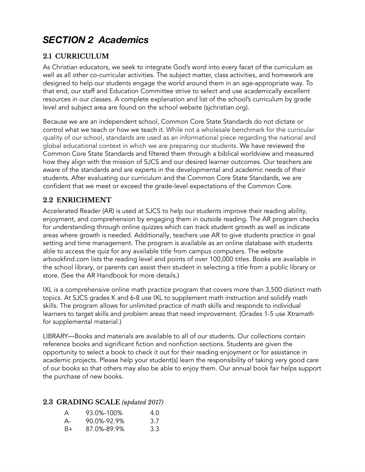## *SECTION 2 Academics*

## **2.1 CURRICULUM**

As Christian educators, we seek to integrate God's word into every facet of the curriculum as well as all other co-curricular activities. The subject matter, class activities, and homework are designed to help our students engage the world around them in an age-appropriate way. To that end, our staff and Education Committee strive to select and use academically excellent resources in our classes. A complete explanation and list of the school's curriculum by grade level and subject area are found on the school website (sjchristian.org).

Because we are an independent school, Common Core State Standards do not dictate or control what we teach or how we teach it. While not a wholesale benchmark for the curricular quality of our school, standards are used as an informational piece regarding the national and global educational context in which we are preparing our students. We have reviewed the Common Core State Standards and filtered them through a biblical worldview and measured how they align with the mission of SJCS and our desired learner outcomes. Our teachers are aware of the standards and are experts in the developmental and academic needs of their students. After evaluating our curriculum and the Common Core State Standards, we are confident that we meet or exceed the grade-level expectations of the Common Core.

## **2.2 ENRICHMENT**

Accelerated Reader (AR) is used at SJCS to help our students improve their reading ability, enjoyment, and comprehension by engaging them in outside reading. The AR program checks for understanding through online quizzes which can track student growth as well as indicate areas where growth is needed. Additionally, teachers use AR to give students practice in goal setting and time management. The program is available as an online database with students able to access the quiz for any available title from campus computers. The website arbookfind.com lists the reading level and points of over 100,000 titles. Books are available in the school library, or parents can assist their student in selecting a title from a public library or store. (See the AR Handbook for more details.)

IXL is a comprehensive online math practice program that covers more than 3,500 distinct math topics. At SJCS grades K and 6-8 use IXL to supplement math instruction and solidify math skills. The program allows for unlimited practice of math skills and responds to individual learners to target skills and problem areas that need improvement. (Grades 1-5 use Xtramath for supplemental material.)

LIBRARY—Books and materials are available to all of our students. Our collections contain reference books and significant fiction and nonfiction sections. Students are given the opportunity to select a book to check it out for their reading enjoyment or for assistance in academic projects. Please help your student(s) learn the responsibility of taking very good care of our books so that others may also be able to enjoy them. Our annual book fair helps support the purchase of new books.

### **2.3 GRADING SCALE** *(updated 2017)*

| A     | 93.0%-100%  | 4 O |
|-------|-------------|-----|
| $A -$ | 90.0%-92.9% | 3.7 |
| $B+$  | 87.0%-89.9% | 3.3 |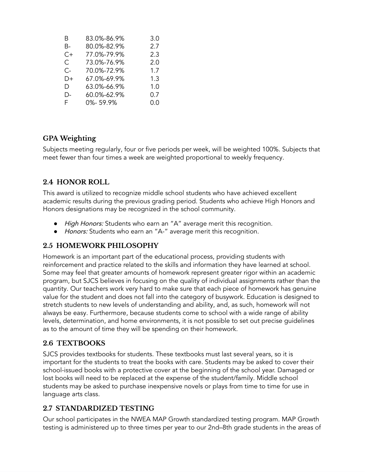| B    | 83.0%-86.9% | 3.0 |
|------|-------------|-----|
| B-   | 80.0%-82.9% | 2.7 |
| $C+$ | 77.0%-79.9% | 2.3 |
| C.   | 73.0%-76.9% | 2.0 |
| C-   | 70.0%-72.9% | 1.7 |
| D+   | 67.0%-69.9% | 1.3 |
| D    | 63.0%-66.9% | 1.0 |
| D-   | 60.0%-62.9% | 0.7 |
| F.   | 0%-59.9%    | 0.0 |

### **GPA Weighting**

Subjects meeting regularly, four or five periods per week, will be weighted 100%. Subjects that meet fewer than four times a week are weighted proportional to weekly frequency.

## **2.4 HONOR ROLL**

This award is utilized to recognize middle school students who have achieved excellent academic results during the previous grading period. Students who achieve High Honors and Honors designations may be recognized in the school community.

- High Honors: Students who earn an "A" average merit this recognition.
- Honors: Students who earn an "A-" average merit this recognition.

## **2.5 HOMEWORK PHILOSOPHY**

Homework is an important part of the educational process, providing students with reinforcement and practice related to the skills and information they have learned at school. Some may feel that greater amounts of homework represent greater rigor within an academic program, but SJCS believes in focusing on the quality of individual assignments rather than the quantity. Our teachers work very hard to make sure that each piece of homework has genuine value for the student and does not fall into the category of busywork. Education is designed to stretch students to new levels of understanding and ability, and, as such, homework will not always be easy. Furthermore, because students come to school with a wide range of ability levels, determination, and home environments, it is not possible to set out precise guidelines as to the amount of time they will be spending on their homework.

## **2.6 TEXTBOOKS**

SJCS provides textbooks for students. These textbooks must last several years, so it is important for the students to treat the books with care. Students may be asked to cover their school-issued books with a protective cover at the beginning of the school year. Damaged or lost books will need to be replaced at the expense of the student/family. Middle school students may be asked to purchase inexpensive novels or plays from time to time for use in language arts class.

## **2.7 STANDARDIZED TESTING**

Our school participates in the NWEA MAP Growth standardized testing program. MAP Growth testing is administered up to three times per year to our 2nd–8th grade students in the areas of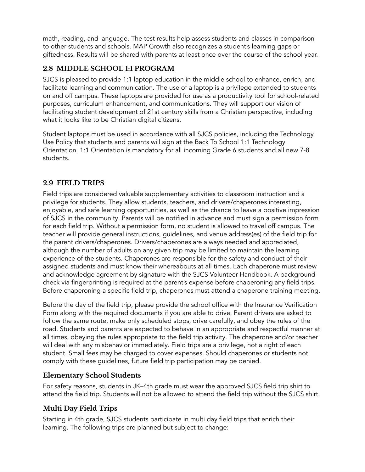math, reading, and language. The test results help assess students and classes in comparison to other students and schools. MAP Growth also recognizes a student's learning gaps or giftedness. Results will be shared with parents at least once over the course of the school year.

## **2.8 MIDDLE SCHOOL 1:1 PROGRAM**

SJCS is pleased to provide 1:1 laptop education in the middle school to enhance, enrich, and facilitate learning and communication. The use of a laptop is a privilege extended to students on and off campus. These laptops are provided for use as a productivity tool for school-related purposes, curriculum enhancement, and communications. They will support our vision of facilitating student development of 21st century skills from a Christian perspective, including what it looks like to be Christian digital citizens.

Student laptops must be used in accordance with all SJCS policies, including the Technology Use Policy that students and parents will sign at the Back To School 1:1 Technology Orientation. 1:1 Orientation is mandatory for all incoming Grade 6 students and all new 7-8 students.

### **2.9 FIELD TRIPS**

Field trips are considered valuable supplementary activities to classroom instruction and a privilege for students. They allow students, teachers, and drivers/chaperones interesting, enjoyable, and safe learning opportunities, as well as the chance to leave a positive impression of SJCS in the community. Parents will be notified in advance and must sign a permission form for each field trip. Without a permission form, no student is allowed to travel off campus. The teacher will provide general instructions, guidelines, and venue address(es) of the field trip for the parent drivers/chaperones. Drivers/chaperones are always needed and appreciated, although the number of adults on any given trip may be limited to maintain the learning experience of the students. Chaperones are responsible for the safety and conduct of their assigned students and must know their whereabouts at all times. Each chaperone must review and acknowledge agreement by signature with the SJCS Volunteer Handbook. A background check via fingerprinting is required at the parent's expense before chaperoning any field trips. Before chaperoning a specific field trip, chaperones must attend a chaperone training meeting.

Before the day of the field trip, please provide the school office with the Insurance Verification Form along with the required documents if you are able to drive. Parent drivers are asked to follow the same route, make only scheduled stops, drive carefully, and obey the rules of the road. Students and parents are expected to behave in an appropriate and respectful manner at all times, obeying the rules appropriate to the field trip activity. The chaperone and/or teacher will deal with any misbehavior immediately. Field trips are a privilege, not a right of each student. Small fees may be charged to cover expenses. Should chaperones or students not comply with these guidelines, future field trip participation may be denied.

## **Elementary School Students**

For safety reasons, students in JK–4th grade must wear the approved SJCS field trip shirt to attend the field trip. Students will not be allowed to attend the field trip without the SJCS shirt.

## **Multi Day Field Trips**

Starting in 4th grade, SJCS students participate in multi day field trips that enrich their learning. The following trips are planned but subject to change: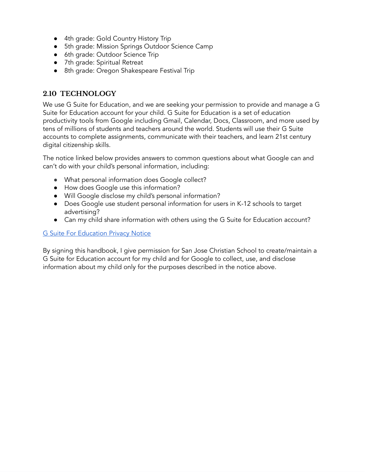- 4th grade: Gold Country History Trip
- 5th grade: Mission Springs Outdoor Science Camp
- 6th grade: Outdoor Science Trip
- 7th grade: Spiritual Retreat
- 8th grade: Oregon Shakespeare Festival Trip

### **2.10 TECHNOLOGY**

We use G Suite for Education, and we are seeking your permission to provide and manage a G Suite for Education account for your child. G Suite for Education is a set of education productivity tools from Google including Gmail, Calendar, Docs, Classroom, and more used by tens of millions of students and teachers around the world. Students will use their G Suite accounts to complete assignments, communicate with their teachers, and learn 21st century digital citizenship skills.

The notice linked below provides answers to common questions about what Google can and can't do with your child's personal information, including:

- What personal information does Google collect?
- How does Google use this information?
- Will Google disclose my child's personal information?
- Does Google use student personal information for users in K-12 schools to target advertising?
- Can my child share information with others using the G Suite for Education account?

#### **G Suite For [Education](https://gsuite.google.com/terms/education_privacy.html) Privacy Notice**

By signing this handbook, I give permission for San Jose Christian School to create/maintain a G Suite for Education account for my child and for Google to collect, use, and disclose information about my child only for the purposes described in the notice above.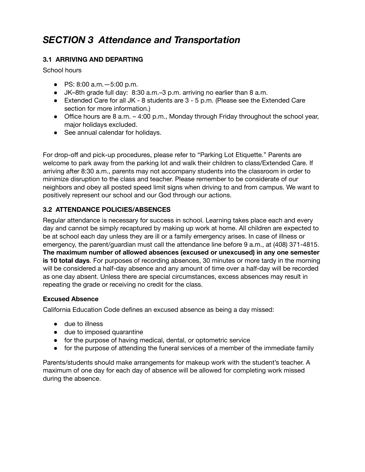## *SECTION 3 Attendance and Transportation*

### **3.1 ARRIVING AND DEPARTING**

School hours

- PS: 8:00 a.m.—5:00 p.m.
- JK–8th grade full day: 8:30 a.m.–3 p.m. arriving no earlier than 8 a.m.
- Extended Care for all JK 8 students are 3 5 p.m. (Please see the Extended Care section for more information.)
- Office hours are 8 a.m.  $-4.00$  p.m., Monday through Friday throughout the school year, major holidays excluded.
- See annual calendar for holidays.

For drop-off and pick-up procedures, please refer to "Parking Lot Etiquette." Parents are welcome to park away from the parking lot and walk their children to class/Extended Care. If arriving after 8:30 a.m., parents may not accompany students into the classroom in order to minimize disruption to the class and teacher. Please remember to be considerate of our neighbors and obey all posted speed limit signs when driving to and from campus. We want to positively represent our school and our God through our actions.

#### **3.2 ATTENDANCE POLICIES/ABSENCES**

Regular attendance is necessary for success in school. Learning takes place each and every day and cannot be simply recaptured by making up work at home. All children are expected to be at school each day unless they are ill or a family emergency arises. In case of illness or emergency, the parent/guardian must call the attendance line before 9 a.m., at (408) 371-4815. **The maximum number of allowed absences (excused or unexcused) in any one semester is 10 total days**. For purposes of recording absences, 30 minutes or more tardy in the morning will be considered a half-day absence and any amount of time over a half-day will be recorded as one day absent. Unless there are special circumstances, excess absences may result in repeating the grade or receiving no credit for the class.

#### **Excused Absence**

California Education Code defines an excused absence as being a day missed:

- due to illness
- due to imposed quarantine
- for the purpose of having medical, dental, or optometric service
- for the purpose of attending the funeral services of a member of the immediate family

Parents/students should make arrangements for makeup work with the student's teacher. A maximum of one day for each day of absence will be allowed for completing work missed during the absence.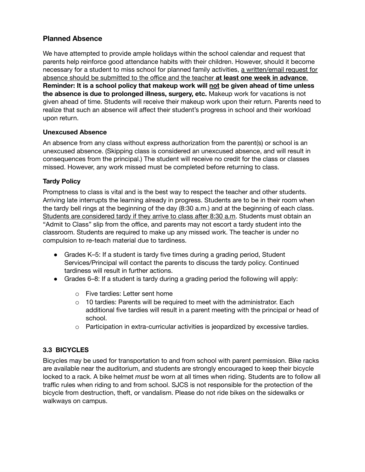#### **Planned Absence**

We have attempted to provide ample holidays within the school calendar and request that parents help reinforce good attendance habits with their children. However, should it become necessary for a student to miss school for planned family activities, a written/email request for absence should be submitted to the office and the teacher **at least one week in advance**. **Reminder: It is a school policy that makeup work will not be given ahead of time unless the absence is due to prolonged illness, surgery, etc.** Makeup work for vacations is not given ahead of time. Students will receive their makeup work upon their return. Parents need to realize that such an absence will affect their student's progress in school and their workload upon return.

#### **Unexcused Absence**

An absence from any class without express authorization from the parent(s) or school is an unexcused absence. (Skipping class is considered an unexcused absence, and will result in consequences from the principal.) The student will receive no credit for the class or classes missed. However, any work missed must be completed before returning to class.

#### **Tardy Policy**

Promptness to class is vital and is the best way to respect the teacher and other students. Arriving late interrupts the learning already in progress. Students are to be in their room when the tardy bell rings at the beginning of the day (8:30 a.m.) and at the beginning of each class. Students are considered tardy if they arrive to class after 8:30 a.m. Students must obtain an "Admit to Class" slip from the office, and parents may not escort a tardy student into the classroom. Students are required to make up any missed work. The teacher is under no compulsion to re-teach material due to tardiness.

- Grades K–5: If a student is tardy five times during a grading period, Student Services/Principal will contact the parents to discuss the tardy policy. Continued tardiness will result in further actions.
- Grades 6–8: If a student is tardy during a grading period the following will apply:
	- o Five tardies: Letter sent home
	- o 10 tardies: Parents will be required to meet with the administrator. Each additional five tardies will result in a parent meeting with the principal or head of school.
	- $\circ$  Participation in extra-curricular activities is jeopardized by excessive tardies.

#### **3.3 BICYCLES**

Bicycles may be used for transportation to and from school with parent permission. Bike racks are available near the auditorium, and students are strongly encouraged to keep their bicycle locked to a rack. A bike helmet *must* be worn at all times when riding. Students are to follow all traffic rules when riding to and from school. SJCS is not responsible for the protection of the bicycle from destruction, theft, or vandalism. Please do not ride bikes on the sidewalks or walkways on campus.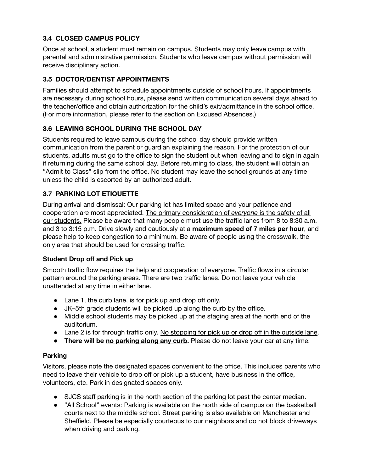#### **3.4 CLOSED CAMPUS POLICY**

Once at school, a student must remain on campus. Students may only leave campus with parental and administrative permission. Students who leave campus without permission will receive disciplinary action.

#### **3.5 DOCTOR/DENTIST APPOINTMENTS**

Families should attempt to schedule appointments outside of school hours. If appointments are necessary during school hours, please send written communication several days ahead to the teacher/office and obtain authorization for the child's exit/admittance in the school office. (For more information, please refer to the section on Excused Absences.)

#### **3.6 LEAVING SCHOOL DURING THE SCHOOL DAY**

Students required to leave campus during the school day should provide written communication from the parent or guardian explaining the reason. For the protection of our students, adults must go to the office to sign the student out when leaving and to sign in again if returning during the same school day. Before returning to class, the student will obtain an "Admit to Class" slip from the office. No student may leave the school grounds at any time unless the child is escorted by an authorized adult.

#### **3.7 PARKING LOT ETIQUETTE**

During arrival and dismissal: Our parking lot has limited space and your patience and cooperation are most appreciated. The primary consideration of *everyone* is the safety of all our students. Please be aware that many people must use the traffic lanes from 8 to 8:30 a.m. and 3 to 3:15 p.m. Drive slowly and cautiously at a **maximum speed of 7 miles per hour**, and please help to keep congestion to a minimum. Be aware of people using the crosswalk, the only area that should be used for crossing traffic.

#### **Student Drop off and Pick up**

Smooth traffic flow requires the help and cooperation of everyone. Traffic flows in a circular pattern around the parking areas. There are two traffic lanes. Do not leave your vehicle unattended at any time in either lane.

- Lane 1, the curb lane, is for pick up and drop off only.
- JK–5th grade students will be picked up along the curb by the office.
- Middle school students may be picked up at the staging area at the north end of the auditorium.
- Lane 2 is for through traffic only. No stopping for pick up or drop off in the outside lane.
- **There will be no parking along any curb.** Please do not leave your car at any time.

#### **Parking**

Visitors, please note the designated spaces convenient to the office. This includes parents who need to leave their vehicle to drop off or pick up a student, have business in the office, volunteers, etc. Park in designated spaces only.

- *●* SJCS staff parking is in the north section of the parking lot past the center median.
- *●* "All School" events: Parking is available on the north side of campus on the basketball courts next to the middle school. Street parking is also available on Manchester and Sheffield. Please be especially courteous to our neighbors and do not block driveways when driving and parking.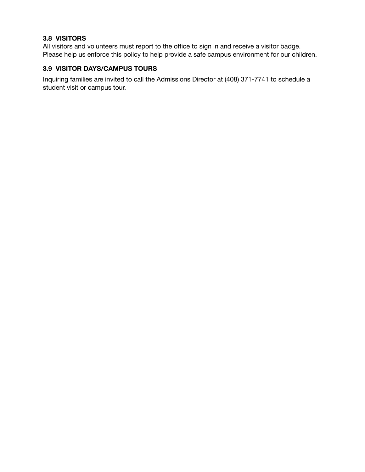#### **3.8 VISITORS**

All visitors and volunteers must report to the office to sign in and receive a visitor badge. Please help us enforce this policy to help provide a safe campus environment for our children.

#### **3.9 VISITOR DAYS/CAMPUS TOURS**

Inquiring families are invited to call the Admissions Director at (408) 371-7741 to schedule a student visit or campus tour.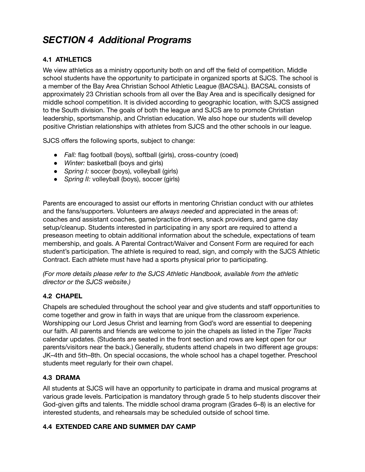## *SECTION 4 Additional Programs*

### **4.1 ATHLETICS**

We view athletics as a ministry opportunity both on and off the field of competition. Middle school students have the opportunity to participate in organized sports at SJCS. The school is a member of the Bay Area Christian School Athletic League (BACSAL). BACSAL consists of approximately 23 Christian schools from all over the Bay Area and is specifically designed for middle school competition. It is divided according to geographic location, with SJCS assigned to the South division. The goals of both the league and SJCS are to promote Christian leadership, sportsmanship, and Christian education. We also hope our students will develop positive Christian relationships with athletes from SJCS and the other schools in our league.

SJCS offers the following sports, subject to change:

- *Fall:* flag football (boys), softball (girls), cross-country (coed)
- *Winter:* basketball (boys and girls)
- *Spring I:* soccer (boys), volleyball (girls)
- *Spring II:* volleyball (boys), soccer (girls)

Parents are encouraged to assist our efforts in mentoring Christian conduct with our athletes and the fans/supporters. Volunteers are *always needed* and appreciated in the areas of: coaches and assistant coaches, game/practice drivers, snack providers, and game day setup/cleanup. Students interested in participating in any sport are required to attend a preseason meeting to obtain additional information about the schedule, expectations of team membership, and goals. A Parental Contract/Waiver and Consent Form are required for each student's participation. The athlete is required to read, sign, and comply with the SJCS Athletic Contract. Each athlete must have had a sports physical prior to participating.

*(For more details please refer to the SJCS Athletic Handbook, available from the athletic director or the SJCS website.)*

### **4.2 CHAPEL**

Chapels are scheduled throughout the school year and give students and staff opportunities to come together and grow in faith in ways that are unique from the classroom experience. Worshipping our Lord Jesus Christ and learning from God's word are essential to deepening our faith. All parents and friends are welcome to join the chapels as listed in the *Tiger Tracks* calendar updates. (Students are seated in the front section and rows are kept open for our parents/visitors near the back.) Generally, students attend chapels in two different age groups: JK–4th and 5th–8th. On special occasions, the whole school has a chapel together. Preschool students meet regularly for their own chapel.

#### **4.3 DRAMA**

All students at SJCS will have an opportunity to participate in drama and musical programs at various grade levels. Participation is mandatory through grade 5 to help students discover their God-given gifts and talents. The middle school drama program (Grades 6–8) is an elective for interested students, and rehearsals may be scheduled outside of school time.

#### **4.4 EXTENDED CARE AND SUMMER DAY CAMP**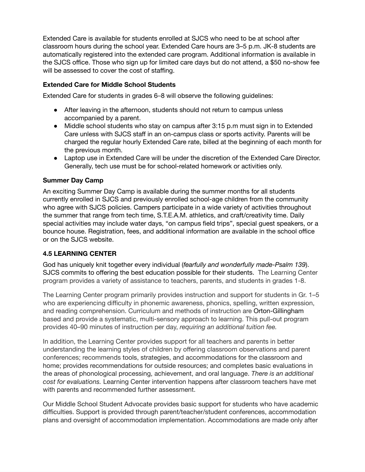Extended Care is available for students enrolled at SJCS who need to be at school after classroom hours during the school year. Extended Care hours are 3–5 p.m. JK-8 students are automatically registered into the extended care program. Additional information is available in the SJCS office. Those who sign up for limited care days but do not attend, a \$50 no-show fee will be assessed to cover the cost of staffing.

#### **Extended Care for Middle School Students**

Extended Care for students in grades 6–8 will observe the following guidelines:

- After leaving in the afternoon, students should not return to campus unless accompanied by a parent.
- Middle school students who stay on campus after 3:15 p.m must sign in to Extended Care unless with SJCS staff in an on-campus class or sports activity. Parents will be charged the regular hourly Extended Care rate, billed at the beginning of each month for the previous month.
- Laptop use in Extended Care will be under the discretion of the Extended Care Director. Generally, tech use must be for school-related homework or activities only.

#### **Summer Day Camp**

An exciting Summer Day Camp is available during the summer months for all students currently enrolled in SJCS and previously enrolled school-age children from the community who agree with SJCS policies. Campers participate in a wide variety of activities throughout the summer that range from tech time, S.T.E.A.M. athletics, and craft/creativity time. Daily special activities may include water days, "on campus field trips", special guest speakers, or a bounce house. Registration, fees, and additional information are available in the school office or on the SJCS website.

#### **4.5 LEARNING CENTER**

God has uniquely knit together every individual (*fearfully and wonderfully made-Psalm 139*). SJCS commits to offering the best education possible for their students. The Learning Center program provides a variety of assistance to teachers, parents, and students in grades 1-8.

The Learning Center program primarily provides instruction and support for students in Gr. 1–5 who are experiencing difficulty in phonemic awareness, phonics, spelling, written expression, and reading comprehension. Curriculum and methods of instruction are Orton-Gillingham based and provide a systematic, multi-sensory approach to learning. This pull-out program provides 40–90 minutes of instruction per day, *requiring an additional tuition fee.*

In addition, the Learning Center provides support for all teachers and parents in better understanding the learning styles of children by offering classroom observations and parent conferences; recommends tools, strategies, and accommodations for the classroom and home; provides recommendations for outside resources; and completes basic evaluations in the areas of phonological processing, achievement, and oral language. *There is an additional cost for evaluations.* Learning Center intervention happens after classroom teachers have met with parents and recommended further assessment.

Our Middle School Student Advocate provides basic support for students who have academic difficulties. Support is provided through parent/teacher/student conferences, accommodation plans and oversight of accommodation implementation. Accommodations are made only after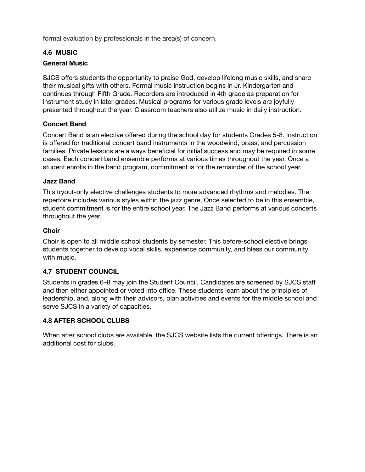formal evaluation by professionals in the area(s) of concern.

#### **4.6 MUSIC**

#### **General Music**

SJCS offers students the opportunity to praise God, develop lifelong music skills, and share their musical gifts with others. Formal music instruction begins in Jr. Kindergarten and continues through Fifth Grade. Recorders are introduced in 4th grade as preparation for instrument study in later grades. Musical programs for various grade levels are joyfully presented throughout the year. Classroom teachers also utilize music in daily instruction.

#### **Concert Band**

Concert Band is an elective offered during the school day for students Grades 5-8. Instruction is offered for traditional concert band instruments in the woodwind, brass, and percussion families. Private lessons are always beneficial for initial success and may be required in some cases. Each concert band ensemble performs at various times throughout the year. Once a student enrolls in the band program, commitment is for the remainder of the school year.

#### **Jazz Band**

This tryout-only elective challenges students to more advanced rhythms and melodies. The repertoire includes various styles within the jazz genre. Once selected to be in this ensemble, student commitment is for the entire school year. The Jazz Band performs at various concerts throughout the year.

#### **Choir**

Choir is open to all middle school students by semester. This before-school elective brings students together to develop vocal skills, experience community, and bless our community with music.

#### **4.7 STUDENT COUNCIL**

Students in grades 6–8 may join the Student Council. Candidates are screened by SJCS staff and then either appointed or voted into office. These students learn about the principles of leadership, and, along with their advisors, plan activities and events for the middle school and serve SJCS in a variety of capacities.

#### **4.8 AFTER SCHOOL CLUBS**

When after school clubs are available, the SJCS website lists the current offerings. There is an additional cost for clubs.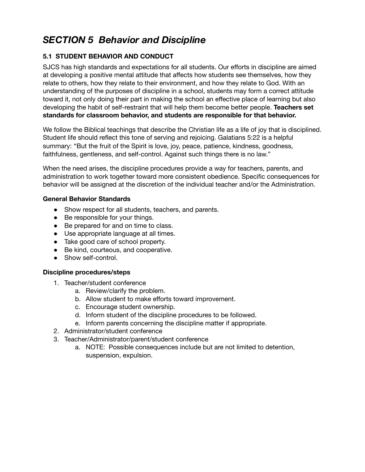## *SECTION 5 Behavior and Discipline*

#### **5.1 STUDENT BEHAVIOR AND CONDUCT**

SJCS has high standards and expectations for all students. Our efforts in discipline are aimed at developing a positive mental attitude that affects how students see themselves, how they relate to others, how they relate to their environment, and how they relate to God. With an understanding of the purposes of discipline in a school, students may form a correct attitude toward it, not only doing their part in making the school an effective place of learning but also developing the habit of self-restraint that will help them become better people. **Teachers set standards for classroom behavior, and students are responsible for that behavior.**

We follow the Biblical teachings that describe the Christian life as a life of joy that is disciplined. Student life should reflect this tone of serving and rejoicing. Galatians 5:22 is a helpful summary: "But the fruit of the Spirit is love, joy, peace, patience, kindness, goodness, faithfulness, gentleness, and self-control. Against such things there is no law."

When the need arises, the discipline procedures provide a way for teachers, parents, and administration to work together toward more consistent obedience. Specific consequences for behavior will be assigned at the discretion of the individual teacher and/or the Administration.

#### **General Behavior Standards**

- Show respect for all students, teachers, and parents.
- Be responsible for your things.
- Be prepared for and on time to class.
- Use appropriate language at all times.
- Take good care of school property.
- Be kind, courteous, and cooperative.
- Show self-control.

#### **Discipline procedures/steps**

- 1. Teacher/student conference
	- a. Review/clarify the problem.
	- b. Allow student to make efforts toward improvement.
	- c. Encourage student ownership.
	- d. Inform student of the discipline procedures to be followed.
	- e. Inform parents concerning the discipline matter if appropriate.
- 2. Administrator/student conference
- 3. Teacher/Administrator/parent/student conference
	- a. NOTE: Possible consequences include but are not limited to detention, suspension, expulsion.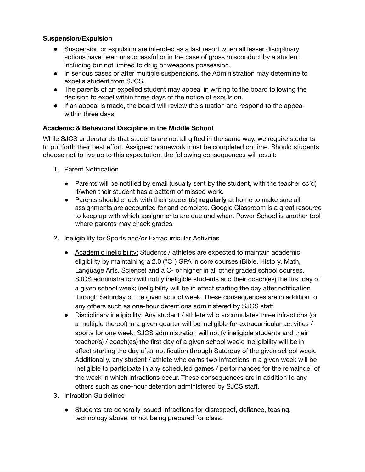#### **Suspension/Expulsion**

- Suspension or expulsion are intended as a last resort when all lesser disciplinary actions have been unsuccessful or in the case of gross misconduct by a student, including but not limited to drug or weapons possession.
- In serious cases or after multiple suspensions, the Administration may determine to expel a student from SJCS.
- The parents of an expelled student may appeal in writing to the board following the decision to expel within three days of the notice of expulsion.
- If an appeal is made, the board will review the situation and respond to the appeal within three days.

#### **Academic & Behavioral Discipline in the Middle School**

While SJCS understands that students are not all gifted in the same way, we require students to put forth their best effort. Assigned homework must be completed on time. Should students choose not to live up to this expectation, the following consequences will result:

- 1. Parent Notification
	- Parents will be notified by email (usually sent by the student, with the teacher cc'd) if/when their student has a pattern of missed work.
	- Parents should check with their student(s) **regularly** at home to make sure all assignments are accounted for and complete. Google Classroom is a great resource to keep up with which assignments are due and when. Power School is another tool where parents may check grades.
- 2. Ineligibility for Sports and/or Extracurricular Activities
	- Academic ineligibility: Students / athletes are expected to maintain academic eligibility by maintaining a 2.0 ("C") GPA in core courses (Bible, History, Math, Language Arts, Science) and a C- or higher in all other graded school courses. SJCS administration will notify ineligible students and their coach(es) the first day of a given school week; ineligibility will be in effect starting the day after notification through Saturday of the given school week. These consequences are in addition to any others such as one-hour detentions administered by SJCS staff.
	- Disciplinary ineligibility: Any student / athlete who accumulates three infractions (or a multiple thereof) in a given quarter will be ineligible for extracurricular activities / sports for one week. SJCS administration will notify ineligible students and their teacher(s) / coach(es) the first day of a given school week; ineligibility will be in effect starting the day after notification through Saturday of the given school week. Additionally, any student / athlete who earns two infractions in a given week will be ineligible to participate in any scheduled games / performances for the remainder of the week in which infractions occur. These consequences are in addition to any others such as one-hour detention administered by SJCS staff.
- 3. Infraction Guidelines
	- Students are generally issued infractions for disrespect, defiance, teasing, technology abuse, or not being prepared for class.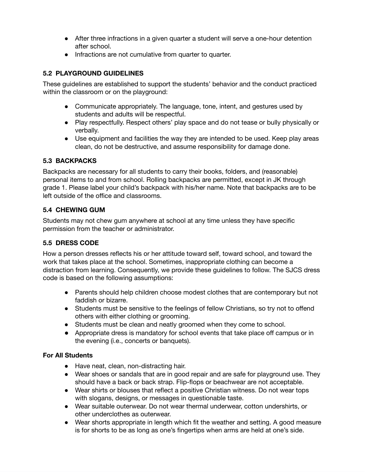- After three infractions in a given quarter a student will serve a one-hour detention after school.
- Infractions are not cumulative from quarter to quarter.

#### **5.2 PLAYGROUND GUIDELINES**

These guidelines are established to support the students' behavior and the conduct practiced within the classroom or on the playground:

- Communicate appropriately. The language, tone, intent, and gestures used by students and adults will be respectful.
- Play respectfully. Respect others' play space and do not tease or bully physically or verbally.
- Use equipment and facilities the way they are intended to be used. Keep play areas clean, do not be destructive, and assume responsibility for damage done.

#### **5.3 BACKPACKS**

Backpacks are necessary for all students to carry their books, folders, and (reasonable) personal items to and from school. Rolling backpacks are permitted, except in JK through grade 1. Please label your child's backpack with his/her name. Note that backpacks are to be left outside of the office and classrooms.

#### **5.4 CHEWING GUM**

Students may not chew gum anywhere at school at any time unless they have specific permission from the teacher or administrator.

#### **5.5 DRESS CODE**

How a person dresses reflects his or her attitude toward self, toward school, and toward the work that takes place at the school. Sometimes, inappropriate clothing can become a distraction from learning. Consequently, we provide these guidelines to follow. The SJCS dress code is based on the following assumptions:

- Parents should help children choose modest clothes that are contemporary but not faddish or bizarre.
- Students must be sensitive to the feelings of fellow Christians, so try not to offend others with either clothing or grooming.
- Students must be clean and neatly groomed when they come to school.
- Appropriate dress is mandatory for school events that take place off campus or in the evening (i.e., concerts or banquets).

#### **For All Students**

- Have neat, clean, non-distracting hair.
- Wear shoes or sandals that are in good repair and are safe for playground use. They should have a back or back strap. Flip-flops or beachwear are not acceptable.
- Wear shirts or blouses that reflect a positive Christian witness. Do not wear tops with slogans, designs, or messages in questionable taste.
- Wear suitable outerwear. Do not wear thermal underwear, cotton undershirts, or other underclothes as outerwear.
- Wear shorts appropriate in length which fit the weather and setting. A good measure is for shorts to be as long as one's fingertips when arms are held at one's side.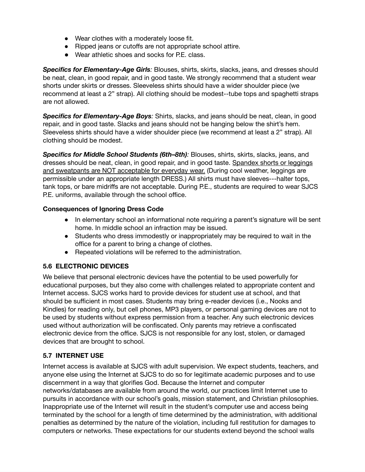- Wear clothes with a moderately loose fit.
- Ripped jeans or cutoffs are not appropriate school attire.
- Wear athletic shoes and socks for P.E. class.

*Specifics for Elementary-Age Girls:* Blouses, shirts, skirts, slacks, jeans, and dresses should be neat, clean, in good repair, and in good taste. We strongly recommend that a student wear shorts under skirts or dresses. Sleeveless shirts should have a wider shoulder piece (we recommend at least a 2" strap). All clothing should be modest--tube tops and spaghetti straps are not allowed.

*Specifics for Elementary-Age Boys:* Shirts, slacks, and jeans should be neat, clean, in good repair, and in good taste. Slacks and jeans should not be hanging below the shirt's hem. Sleeveless shirts should have a wider shoulder piece (we recommend at least a 2" strap). All clothing should be modest.

*Specifics for Middle School Students (6th–8th):* Blouses, shirts, skirts, slacks, jeans, and dresses should be neat, clean, in good repair, and in good taste. Spandex shorts or leggings and sweatpants are NOT acceptable for everyday wear. (During cool weather, leggings are permissible under an appropriate length DRESS.) All shirts must have sleeves---halter tops, tank tops, or bare midriffs are not acceptable. During P.E., students are required to wear SJCS P.E. uniforms, available through the school office.

#### **Consequences of Ignoring Dress Code**

- In elementary school an informational note requiring a parent's signature will be sent home. In middle school an infraction may be issued.
- Students who dress immodestly or inappropriately may be required to wait in the office for a parent to bring a change of clothes.
- Repeated violations will be referred to the administration.

#### **5.6 ELECTRONIC DEVICES**

We believe that personal electronic devices have the potential to be used powerfully for educational purposes, but they also come with challenges related to appropriate content and Internet access. SJCS works hard to provide devices for student use at school, and that should be sufficient in most cases. Students may bring e-reader devices (i.e., Nooks and Kindles) for reading only, but cell phones, MP3 players, or personal gaming devices are not to be used by students without express permission from a teacher. Any such electronic devices used without authorization will be confiscated. Only parents may retrieve a confiscated electronic device from the office. SJCS is not responsible for any lost, stolen, or damaged devices that are brought to school.

#### **5.7 INTERNET USE**

Internet access is available at SJCS with adult supervision. We expect students, teachers, and anyone else using the Internet at SJCS to do so for legitimate academic purposes and to use discernment in a way that glorifies God. Because the Internet and computer networks/databases are available from around the world, our practices limit Internet use to pursuits in accordance with our school's goals, mission statement, and Christian philosophies. Inappropriate use of the Internet will result in the student's computer use and access being terminated by the school for a length of time determined by the administration, with additional penalties as determined by the nature of the violation, including full restitution for damages to computers or networks. These expectations for our students extend beyond the school walls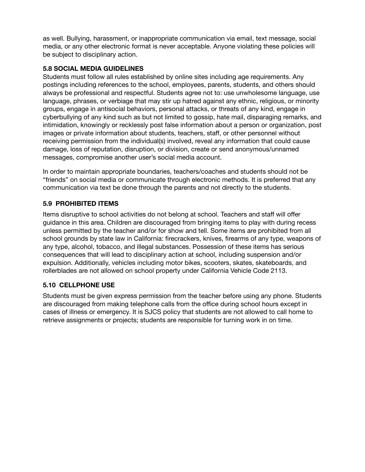as well. Bullying, harassment, or inappropriate communication via email, text message, social media, or any other electronic format is never acceptable. Anyone violating these policies will be subject to disciplinary action.

#### **5.8 SOCIAL MEDIA GUIDELINES**

Students must follow all rules established by online sites including age requirements. Any postings including references to the school, employees, parents, students, and others should always be professional and respectful. Students agree not to: use unwholesome language, use language, phrases, or verbiage that may stir up hatred against any ethnic, religious, or minority groups, engage in antisocial behaviors, personal attacks, or threats of any kind, engage in cyberbullying of any kind such as but not limited to gossip, hate mail, disparaging remarks, and intimidation, knowingly or recklessly post false information about a person or organization, post images or private information about students, teachers, staff, or other personnel without receiving permission from the individual(s) involved, reveal any information that could cause damage, loss of reputation, disruption, or division, create or send anonymous/unnamed messages, compromise another user's social media account.

In order to maintain appropriate boundaries, teachers/coaches and students should not be "friends" on social media or communicate through electronic methods. It is preferred that any communication via text be done through the parents and not directly to the students.

#### **5.9 PROHIBITED ITEMS**

Items disruptive to school activities do not belong at school. Teachers and staff will offer guidance in this area. Children are discouraged from bringing items to play with during recess unless permitted by the teacher and/or for show and tell. Some items are prohibited from all school grounds by state law in California: firecrackers, knives, firearms of any type, weapons of any type, alcohol, tobacco, and illegal substances. Possession of these items has serious consequences that will lead to disciplinary action at school, including suspension and/or expulsion. Additionally, vehicles including motor bikes, scooters, skates, skateboards, and rollerblades are not allowed on school property under California Vehicle Code 2113.

#### **5.10 CELLPHONE USE**

Students must be given express permission from the teacher before using any phone. Students are discouraged from making telephone calls from the office during school hours except in cases of illness or emergency. It is SJCS policy that students are not allowed to call home to retrieve assignments or projects; students are responsible for turning work in on time.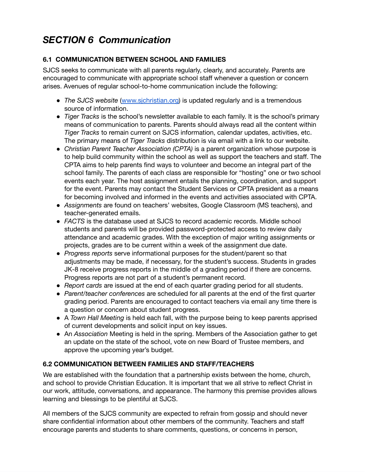## *SECTION 6 Communication*

### **6.1 COMMUNICATION BETWEEN SCHOOL AND FAMILIES**

SJCS seeks to communicate with all parents regularly, clearly, and accurately. Parents are encouraged to communicate with appropriate school staff whenever a question or concern arises. Avenues of regular school-to-home communication include the following:

- *The SJCS website* [\(www.sjchristian.org](http://www.sjchristian.org/)) is updated regularly and is a tremendous source of information.
- *Tiger Tracks* is the school's newsletter available to each family. It is the school's primary means of communication to parents. Parents should always read all the content within *Tiger Tracks* to remain current on SJCS information, calendar updates, activities, etc. The primary means of *Tiger Tracks* distribution is via email with a link to our website.
- *Christian Parent Teacher Association (CPTA)* is a parent organization whose purpose is to help build community within the school as well as support the teachers and staff. The CPTA aims to help parents find ways to volunteer and become an integral part of the school family. The parents of each class are responsible for "hosting" one or two school events each year. The host assignment entails the planning, coordination, and support for the event. Parents may contact the Student Services or CPTA president as a means for becoming involved and informed in the events and activities associated with CPTA.
- *Assignments* are found on teachers' websites, Google Classroom (MS teachers), and teacher-generated emails.
- FACTS is the database used at SJCS to record academic records. Middle school students and parents will be provided password-protected access to review daily attendance and academic grades. With the exception of major writing assignments or projects, grades are to be current within a week of the assignment due date.
- *Progress reports* serve informational purposes for the student/parent so that adjustments may be made, if necessary, for the student's success. Students in grades JK-8 receive progress reports in the middle of a grading period if there are concerns. Progress reports are not part of a student's permanent record.
- *Report cards* are issued at the end of each quarter grading period for all students.
- *Parent/teacher conferences* are scheduled for all parents at the end of the first quarter grading period. Parents are encouraged to contact teachers via email any time there is a question or concern about student progress.
- A *Town Hall Meeting* is held each fall, with the purpose being to keep parents apprised of current developments and solicit input on key issues.
- An *Association* Meeting is held in the spring. Members of the Association gather to get an update on the state of the school, vote on new Board of Trustee members, and approve the upcoming year's budget.

### **6.2 COMMUNICATION BETWEEN FAMILIES AND STAFF/TEACHERS**

We are established with the foundation that a partnership exists between the home, church, and school to provide Christian Education. It is important that we all strive to reflect Christ in our work, attitude, conversations, and appearance. The harmony this premise provides allows learning and blessings to be plentiful at SJCS.

All members of the SJCS community are expected to refrain from gossip and should never share confidential information about other members of the community. Teachers and staff encourage parents and students to share comments, questions, or concerns in person,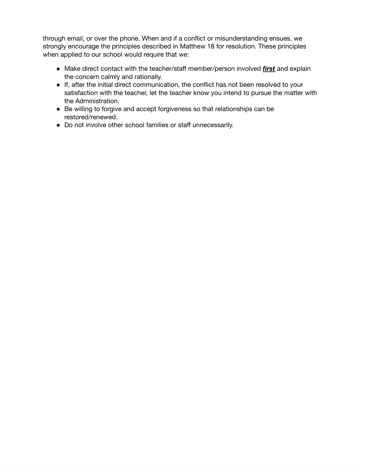through email, or over the phone. When and if a conflict or misunderstanding ensues, we strongly encourage the principles described in Matthew 18 for resolution. These principles when applied to our school would require that we:

- Make direct contact with the teacher/staff member/person involved *first* and explain the concern calmly and rationally.
- If, after the initial direct communication, the conflict has not been resolved to your satisfaction with the teacher, let the teacher know you intend to pursue the matter with the Administration.
- Be willing to forgive and accept forgiveness so that relationships can be restored/renewed.
- Do not involve other school families or staff unnecessarily.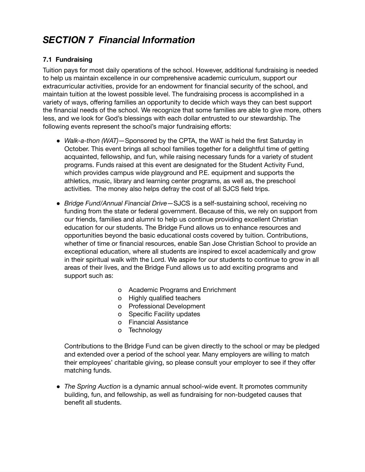## *SECTION 7 Financial Information*

#### **7.1 Fundraising**

Tuition pays for most daily operations of the school. However, additional fundraising is needed to help us maintain excellence in our comprehensive academic curriculum, support our extracurricular activities, provide for an endowment for financial security of the school, and maintain tuition at the lowest possible level. The fundraising process is accomplished in a variety of ways, offering families an opportunity to decide which ways they can best support the financial needs of the school. We recognize that some families are able to give more, others less, and we look for God's blessings with each dollar entrusted to our stewardship. The following events represent the school's major fundraising efforts:

- *Walk-a-thon (WAT)*—Sponsored by the CPTA, the WAT is held the first Saturday in October. This event brings all school families together for a delightful time of getting acquainted, fellowship, and fun, while raising necessary funds for a variety of student programs. Funds raised at this event are designated for the Student Activity Fund, which provides campus wide playground and P.E. equipment and supports the athletics, music, library and learning center programs, as well as, the preschool activities. The money also helps defray the cost of all SJCS field trips.
- *Bridge Fund/Annual Financial Drive*—SJCS is a self-sustaining school, receiving no funding from the state or federal government. Because of this, we rely on support from our friends, families and alumni to help us continue providing excellent Christian education for our students. The Bridge Fund allows us to enhance resources and opportunities beyond the basic educational costs covered by tuition. Contributions, whether of time or financial resources, enable San Jose Christian School to provide an exceptional education, where all students are inspired to excel academically and grow in their spiritual walk with the Lord. We aspire for our students to continue to grow in all areas of their lives, and the Bridge Fund allows us to add exciting programs and support such as:
	- o Academic Programs and Enrichment
	- o Highly qualified teachers
	- o Professional Development
	- o Specific Facility updates
	- o Financial Assistance
	- o Technology

Contributions to the Bridge Fund can be given directly to the school or may be pledged and extended over a period of the school year. Many employers are willing to match their employees' charitable giving, so please consult your employer to see if they offer matching funds.

● *The Spring Auction* is a dynamic annual school-wide event. It promotes community building, fun, and fellowship, as well as fundraising for non-budgeted causes that benefit all students.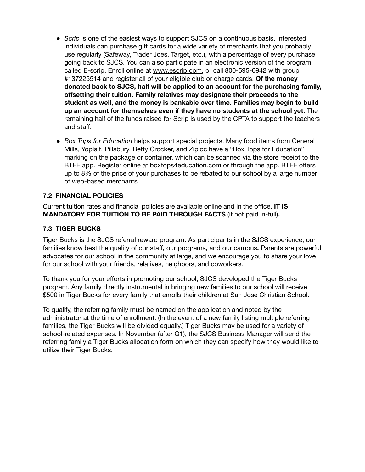- *Scrip* is one of the easiest ways to support SJCS on a continuous basis. Interested individuals can purchase gift cards for a wide variety of merchants that you probably use regularly (Safeway, Trader Joes, Target, etc.), with a percentage of every purchase going back to SJCS. You can also participate in an electronic version of the program called E-scrip. Enroll online at www.escrip.com, or call 800-595-0942 with group #137225514 and register all of your eligible club or charge cards. **Of the money donated back to SJCS, half will be applied to an account for the purchasing family, offsetting their tuition. Family relatives may designate their proceeds to the student as well, and the money is bankable over time. Families may begin to build up an account for themselves even if they have no students at the school yet.** The remaining half of the funds raised for Scrip is used by the CPTA to support the teachers and staff.
- *Box Tops for Education* helps support special projects. Many food items from General Mills, Yoplait, Pillsbury, Betty Crocker, and Ziploc have a "Box Tops for Education" marking on the package or container, which can be scanned via the store receipt to the BTFE app. Register online at boxtops4education.com or through the app. BTFE offers up to 8% of the price of your purchases to be rebated to our school by a large number of web-based merchants.

#### **7.2 FINANCIAL POLICIES**

Current tuition rates and financial policies are available online and in the office. **IT IS MANDATORY FOR TUITION TO BE PAID THROUGH FACTS** (if not paid in-full)**.**

#### **7.3 TIGER BUCKS**

Tiger Bucks is the SJCS referral reward program. As participants in the SJCS experience, our families know best the quality of our staff**,** our programs**,** and our campus**.** Parents are powerful advocates for our school in the community at large, and we encourage you to share your love for our school with your friends, relatives, neighbors, and coworkers.

To thank you for your efforts in promoting our school, SJCS developed the Tiger Bucks program. Any family directly instrumental in bringing new families to our school will receive \$500 in Tiger Bucks for every family that enrolls their children at San Jose Christian School.

To qualify, the referring family must be named on the application and noted by the administrator at the time of enrollment. (In the event of a new family listing multiple referring families, the Tiger Bucks will be divided equally.) Tiger Bucks may be used for a variety of school-related expenses. In November (after Q1), the SJCS Business Manager will send the referring family a Tiger Bucks allocation form on which they can specify how they would like to utilize their Tiger Bucks.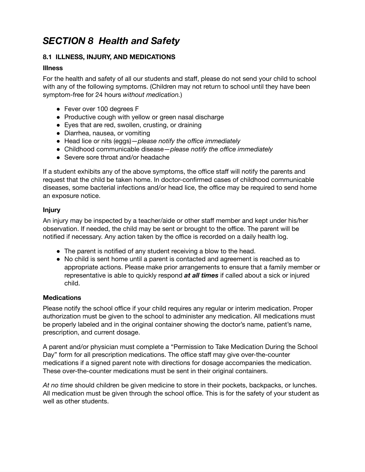## *SECTION 8 Health and Safety*

#### **8.1 ILLNESS, INJURY, AND MEDICATIONS**

#### **Illness**

For the health and safety of all our students and staff, please do not send your child to school with any of the following symptoms. (Children may not return to school until they have been symptom-free for 24 hours *without medication.*)

- Fever over 100 degrees F
- Productive cough with yellow or green nasal discharge
- Eyes that are red, swollen, crusting, or draining
- Diarrhea, nausea, or vomiting
- Head lice or nits (eggs)—*please notify the office immediately*
- Childhood communicable disease—*please notify the office immediately*
- Severe sore throat and/or headache

If a student exhibits any of the above symptoms, the office staff will notify the parents and request that the child be taken home. In doctor-confirmed cases of childhood communicable diseases, some bacterial infections and/or head lice, the office may be required to send home an exposure notice.

#### **Injury**

An injury may be inspected by a teacher/aide or other staff member and kept under his/her observation. If needed, the child may be sent or brought to the office. The parent will be notified if necessary. Any action taken by the office is recorded on a daily health log.

- The parent is notified of any student receiving a blow to the head.
- *●* No child is sent home until a parent is contacted and agreement is reached as to appropriate actions. Please make prior arrangements to ensure that a family member or representative is able to quickly respond *at all times* if called about a sick or injured child.

#### **Medications**

Please notify the school office if your child requires any regular or interim medication. Proper authorization must be given to the school to administer any medication. All medications must be properly labeled and in the original container showing the doctor's name, patient's name, prescription, and current dosage.

A parent and/or physician must complete a "Permission to Take Medication During the School Day" form for all prescription medications. The office staff may give over-the-counter medications if a signed parent note with directions for dosage accompanies the medication. These over-the-counter medications must be sent in their original containers.

*At no time* should children be given medicine to store in their pockets, backpacks, or lunches. All medication must be given through the school office. This is for the safety of your student as well as other students.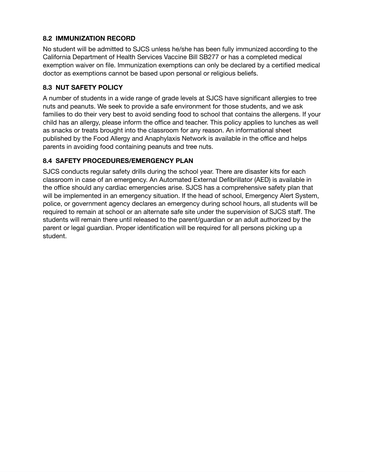#### **8.2 IMMUNIZATION RECORD**

No student will be admitted to SJCS unless he/she has been fully immunized according to the California Department of Health Services Vaccine Bill SB277 or has a completed medical exemption waiver on file. Immunization exemptions can only be declared by a certified medical doctor as exemptions cannot be based upon personal or religious beliefs.

#### **8.3 NUT SAFETY POLICY**

A number of students in a wide range of grade levels at SJCS have significant allergies to tree nuts and peanuts. We seek to provide a safe environment for those students, and we ask families to do their very best to avoid sending food to school that contains the allergens. If your child has an allergy, please inform the office and teacher. This policy applies to lunches as well as snacks or treats brought into the classroom for any reason. An informational sheet published by the Food Allergy and Anaphylaxis Network is available in the office and helps parents in avoiding food containing peanuts and tree nuts.

#### **8.4 SAFETY PROCEDURES/EMERGENCY PLAN**

SJCS conducts regular safety drills during the school year. There are disaster kits for each classroom in case of an emergency. An Automated External Defibrillator (AED) is available in the office should any cardiac emergencies arise. SJCS has a comprehensive safety plan that will be implemented in an emergency situation. If the head of school, Emergency Alert System, police, or government agency declares an emergency during school hours, all students will be required to remain at school or an alternate safe site under the supervision of SJCS staff. The students will remain there until released to the parent/guardian or an adult authorized by the parent or legal guardian. Proper identification will be required for all persons picking up a student.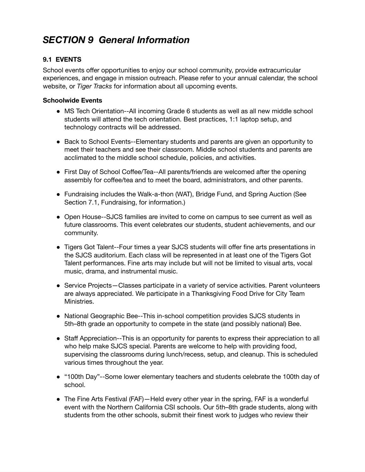## *SECTION 9 General Information*

#### **9.1 EVENTS**

School events offer opportunities to enjoy our school community, provide extracurricular experiences, and engage in mission outreach. Please refer to your annual calendar, the school website, or *Tiger Tracks* for information about all upcoming events.

#### **Schoolwide Events**

- MS Tech Orientation--All incoming Grade 6 students as well as all new middle school students will attend the tech orientation. Best practices, 1:1 laptop setup, and technology contracts will be addressed.
- Back to School Events--Elementary students and parents are given an opportunity to meet their teachers and see their classroom. Middle school students and parents are acclimated to the middle school schedule, policies, and activities.
- First Day of School Coffee/Tea--All parents/friends are welcomed after the opening assembly for coffee/tea and to meet the board, administrators, and other parents.
- Fundraising includes the Walk-a-thon (WAT), Bridge Fund, and Spring Auction (See Section 7.1, Fundraising, for information.)
- Open House--SJCS families are invited to come on campus to see current as well as future classrooms. This event celebrates our students, student achievements, and our community.
- Tigers Got Talent--Four times a year SJCS students will offer fine arts presentations in the SJCS auditorium. Each class will be represented in at least one of the Tigers Got Talent performances. Fine arts may include but will not be limited to visual arts, vocal music, drama, and instrumental music.
- Service Projects–Classes participate in a variety of service activities. Parent volunteers are always appreciated. We participate in a Thanksgiving Food Drive for City Team Ministries.
- National Geographic Bee--This in-school competition provides SJCS students in 5th–8th grade an opportunity to compete in the state (and possibly national) Bee.
- Staff Appreciation--This is an opportunity for parents to express their appreciation to all who help make SJCS special. Parents are welcome to help with providing food, supervising the classrooms during lunch/recess, setup, and cleanup. This is scheduled various times throughout the year.
- "100th Day"--Some lower elementary teachers and students celebrate the 100th day of school.
- The Fine Arts Festival (FAF) Held every other year in the spring, FAF is a wonderful event with the Northern California CSI schools. Our 5th–8th grade students, along with students from the other schools, submit their finest work to judges who review their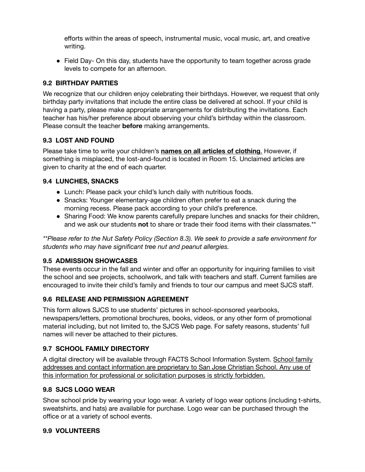efforts within the areas of speech, instrumental music, vocal music, art, and creative writing.

● Field Day- On this day, students have the opportunity to team together across grade levels to compete for an afternoon.

#### **9.2 BIRTHDAY PARTIES**

We recognize that our children enjoy celebrating their birthdays. However, we request that only birthday party invitations that include the entire class be delivered at school. If your child is having a party, please make appropriate arrangements for distributing the invitations. Each teacher has his/her preference about observing your child's birthday within the classroom. Please consult the teacher **before** making arrangements.

#### **9.3 LOST AND FOUND**

Please take time to write your children's **names on all articles of clothing**. However, if something is misplaced, the lost-and-found is located in Room 15. Unclaimed articles are given to charity at the end of each quarter.

#### **9.4 LUNCHES, SNACKS**

- Lunch: Please pack your child's lunch daily with nutritious foods.
- Snacks: Younger elementary-age children often prefer to eat a snack during the morning recess. Please pack according to your child's preference.
- Sharing Food: We know parents carefully prepare lunches and snacks for their children, and we ask our students **not** to share or trade their food items with their classmates.\*\*

*\*\*Please refer to the Nut Safety Policy (Section 8.3). We seek to provide a safe environment for students who may have significant tree nut and peanut allergies.*

### **9.5 ADMISSION SHOWCASES**

These events occur in the fall and winter and offer an opportunity for inquiring families to visit the school and see projects, schoolwork, and talk with teachers and staff. Current families are encouraged to invite their child's family and friends to tour our campus and meet SJCS staff.

### **9.6 RELEASE AND PERMISSION AGREEMENT**

This form allows SJCS to use students' pictures in school-sponsored yearbooks, newspapers/letters, promotional brochures, books, videos, or any other form of promotional material including, but not limited to, the SJCS Web page. For safety reasons, students' full names will never be attached to their pictures.

### **9.7 SCHOOL FAMILY DIRECTORY**

A digital directory will be available through FACTS School Information System. School family addresses and contact information are proprietary to San Jose Christian School. Any use of this information for professional or solicitation purposes is strictly forbidden.

#### **9.8 SJCS LOGO WEAR**

Show school pride by wearing your logo wear. A variety of logo wear options (including t-shirts, sweatshirts, and hats) are available for purchase. Logo wear can be purchased through the office or at a variety of school events.

#### **9.9 VOLUNTEERS**